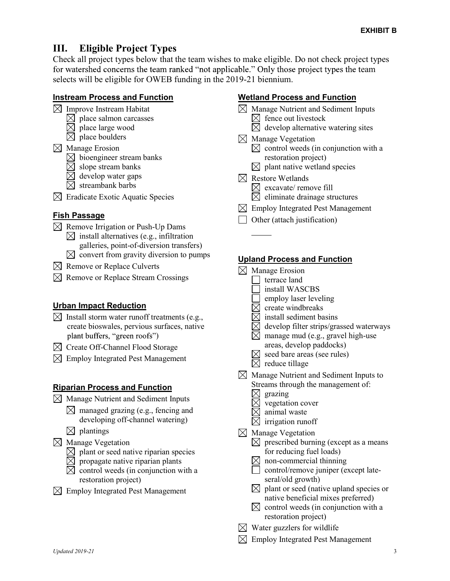# III. Eligible Project Types

Check all project types below that the team wishes to make eligible. Do not check project types for watershed concerns the team ranked "not applicable." Only those project types the team selects will be eligible for OWEB funding in the 2019-21 biennium.

#### Instream Process and Function

- $\boxtimes$  Improve Instream Habitat
	- $\boxtimes$  place salmon carcasses
	- $\boxtimes$  place large wood
	- $\boxtimes$  place boulders
- $\bowtie$  Manage Erosion
	- $\boxtimes$  bioengineer stream banks
	- $\boxtimes$  slope stream banks
	- $\boxtimes$  develop water gaps
	- $\boxtimes$  streambank barbs
- $\boxtimes$  Eradicate Exotic Aquatic Species

## Fish Passage

- $\boxtimes$  Remove Irrigation or Push-Up Dams  $\boxtimes$  install alternatives (e.g., infiltration galleries, point-of-diversion transfers)  $\boxtimes$  convert from gravity diversion to pumps
- $\boxtimes$  Remove or Replace Culverts
- $\boxtimes$  Remove or Replace Stream Crossings

## Urban Impact Reduction

- $\boxtimes$  Install storm water runoff treatments (e.g., create bioswales, pervious surfaces, native plant buffers, "green roofs")
- $\boxtimes$  Create Off-Channel Flood Storage
- $\boxtimes$  Employ Integrated Pest Management

## Riparian Process and Function

- $\boxtimes$  Manage Nutrient and Sediment Inputs
	- $\boxtimes$  managed grazing (e.g., fencing and developing off-channel watering)
	- $\boxtimes$  plantings
- $\boxtimes$  Manage Vegetation
	- $\boxtimes$  plant or seed native riparian species
	- $\overline{\boxtimes}$  propagate native riparian plants
	- $\boxtimes$  control weeds (in conjunction with a restoration project)
- $\boxtimes$  Employ Integrated Pest Management

## Wetland Process and Function

- $\boxtimes$  Manage Nutrient and Sediment Inputs  $\boxtimes$  fence out livestock
	- $\boxtimes$  develop alternative watering sites
- $\boxtimes$  Manage Vegetation  $\boxtimes$  control weeds (in conjunction with a restoration project)
	- $\boxtimes$  plant native wetland species
- $\boxtimes$  Restore Wetlands  $\boxtimes$  excavate/ remove fill

l

- $\boxtimes$  eliminate drainage structures
- $\boxtimes$  Employ Integrated Pest Management
- $\Box$  Other (attach justification)

## Upland Process and Function

 $\boxtimes$  Manage Erosion terrace land install WASCBS employ laser leveling  $\boxtimes$  create windbreaks  $\boxtimes$  install sediment basins develop filter strips/grassed waterways  $\boxtimes$  manage mud (e.g., gravel high-use areas, develop paddocks)  $\boxtimes$  seed bare areas (see rules)  $\boxtimes$  reduce tillage  $\boxtimes$  Manage Nutrient and Sediment Inputs to Streams through the management of:  $\boxtimes$  grazing  $\boxtimes$  vegetation cover  $\boxtimes$  animal waste  $\boxtimes$  irrigation runoff  $\boxtimes$  Manage Vegetation  $\boxtimes$  prescribed burning (except as a means for reducing fuel loads)  $\boxtimes$  non-commercial thinning  $\Box$  control/remove juniper (except lateseral/old growth)  $\boxtimes$  plant or seed (native upland species or native beneficial mixes preferred)  $\boxtimes$  control weeds (in conjunction with a restoration project)  $\boxtimes$  Water guzzlers for wildlife  $\boxtimes$  Employ Integrated Pest Management